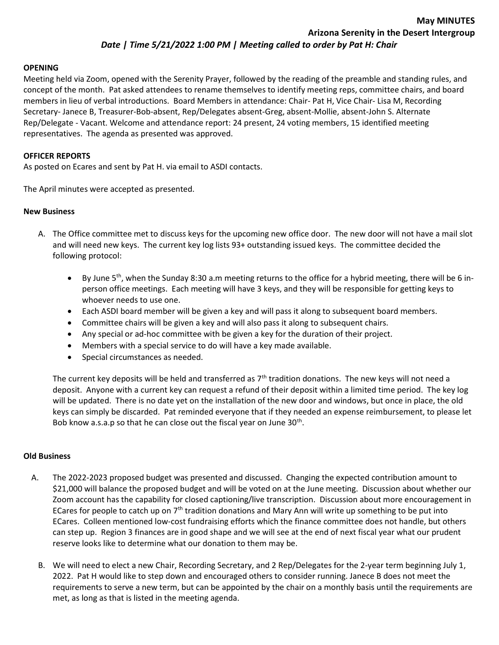# Date | Time 5/21/2022 1:00 PM | Meeting called to order by Pat H: Chair

### OPENING

Meeting held via Zoom, opened with the Serenity Prayer, followed by the reading of the preamble and standing rules, and concept of the month. Pat asked attendees to rename themselves to identify meeting reps, committee chairs, and board members in lieu of verbal introductions. Board Members in attendance: Chair- Pat H, Vice Chair- Lisa M, Recording Secretary- Janece B, Treasurer-Bob-absent, Rep/Delegates absent-Greg, absent-Mollie, absent-John S. Alternate Rep/Delegate - Vacant. Welcome and attendance report: 24 present, 24 voting members, 15 identified meeting representatives. The agenda as presented was approved.

## OFFICER REPORTS

As posted on Ecares and sent by Pat H. via email to ASDI contacts.

The April minutes were accepted as presented.

## New Business

- A. The Office committee met to discuss keys for the upcoming new office door. The new door will not have a mail slot and will need new keys. The current key log lists 93+ outstanding issued keys. The committee decided the following protocol:
	- By June 5th, when the Sunday 8:30 a.m meeting returns to the office for a hybrid meeting, there will be 6 inperson office meetings. Each meeting will have 3 keys, and they will be responsible for getting keys to whoever needs to use one.
	- Each ASDI board member will be given a key and will pass it along to subsequent board members.
	- Committee chairs will be given a key and will also pass it along to subsequent chairs.
	- Any special or ad-hoc committee with be given a key for the duration of their project.
	- Members with a special service to do will have a key made available.
	- Special circumstances as needed.

The current key deposits will be held and transferred as  $7<sup>th</sup>$  tradition donations. The new keys will not need a deposit. Anyone with a current key can request a refund of their deposit within a limited time period. The key log will be updated. There is no date yet on the installation of the new door and windows, but once in place, the old keys can simply be discarded. Pat reminded everyone that if they needed an expense reimbursement, to please let Bob know a.s.a.p so that he can close out the fiscal year on June  $30<sup>th</sup>$ .

### Old Business

- A. The 2022-2023 proposed budget was presented and discussed. Changing the expected contribution amount to \$21,000 will balance the proposed budget and will be voted on at the June meeting. Discussion about whether our Zoom account has the capability for closed captioning/live transcription. Discussion about more encouragement in ECares for people to catch up on 7<sup>th</sup> tradition donations and Mary Ann will write up something to be put into ECares. Colleen mentioned low-cost fundraising efforts which the finance committee does not handle, but others can step up. Region 3 finances are in good shape and we will see at the end of next fiscal year what our prudent reserve looks like to determine what our donation to them may be.
	- B. We will need to elect a new Chair, Recording Secretary, and 2 Rep/Delegates for the 2-year term beginning July 1, 2022. Pat H would like to step down and encouraged others to consider running. Janece B does not meet the requirements to serve a new term, but can be appointed by the chair on a monthly basis until the requirements are met, as long as that is listed in the meeting agenda.